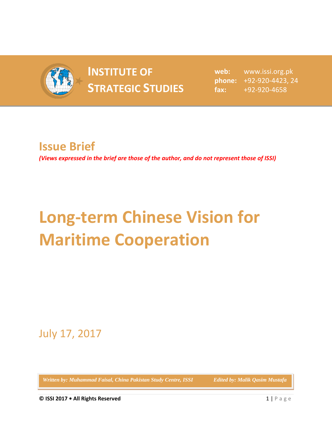

## **INSTITUTE OF SPONDITUTE OF SET REFORE STRATEGIC STUDIES**

**web:** www.issi.org.pk **phone:** +92-920-4423, 24 **fax:** +92-920-4658

## **Issue Brief**

*(Views expressed in the brief are those of the author, and do not represent those of ISSI)*

## **Long-term Chinese Vision for Maritime Cooperation**

July 17, 2017

*Written by: Muhammad Faisal, China Pakistan Study Centre, ISSI Edited by: Malik Qasim Mustafa*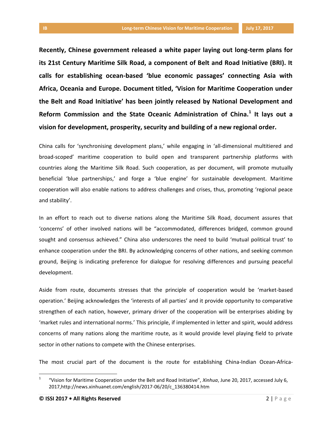**Recently, Chinese government released a white paper laying out long-term plans for its 21st Century Maritime Silk Road, a component of Belt and Road Initiative (BRI). It calls for establishing ocean-based 'blue economic passages' connecting Asia with Africa, Oceania and Europe. Document titled, 'Vision for Maritime Cooperation under the Belt and Road Initiative' has been jointly released by National Development and Reform Commission and the State Oceanic Administration of China.<sup>1</sup> It lays out a vision for development, prosperity, security and building of a new regional order.** 

China calls for 'synchronising development plans,' while engaging in 'all-dimensional multitiered and broad-scoped' maritime cooperation to build open and transparent partnership platforms with countries along the Maritime Silk Road. Such cooperation, as per document, will promote mutually beneficial 'blue partnerships,' and forge a 'blue engine' for sustainable development. Maritime cooperation will also enable nations to address challenges and crises, thus, promoting 'regional peace and stability'.

In an effort to reach out to diverse nations along the Maritime Silk Road, document assures that 'concerns' of other involved nations will be "accommodated, differences bridged, common ground sought and consensus achieved." China also underscores the need to build 'mutual political trust' to enhance cooperation under the BRI. By acknowledging concerns of other nations, and seeking common ground, Beijing is indicating preference for dialogue for resolving differences and pursuing peaceful development.

Aside from route, documents stresses that the principle of cooperation would be 'market-based operation.' Beijing acknowledges the 'interests of all parties' and it provide opportunity to comparative strengthen of each nation, however, primary driver of the cooperation will be enterprises abiding by 'market rules and international norms.' This principle, if implemented in letter and spirit, would address concerns of many nations along the maritime route, as it would provide level playing field to private sector in other nations to compete with the Chinese enterprises.

The most crucial part of the document is the route for establishing China-Indian Ocean-Africa-

l

<sup>1</sup> "Vision for Maritime Cooperation under the Belt and Road Initiative", *Xinhua*, June 20, 2017, accessed July 6, 2017,http://news.xinhuanet.com/english/2017-06/20/c\_136380414.htm